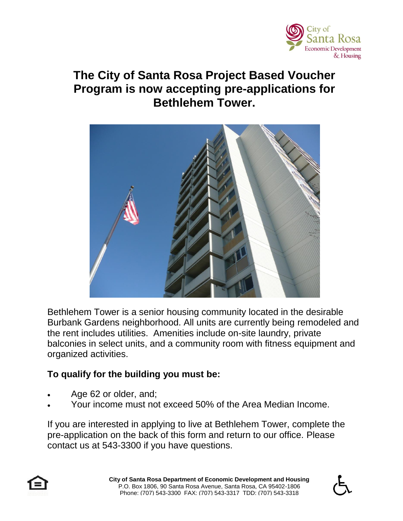

## **The City of Santa Rosa Project Based Voucher Program is now accepting pre-applications for Bethlehem Tower.**



Bethlehem Tower is a senior housing community located in the desirable Burbank Gardens neighborhood. All units are currently being remodeled and the rent includes utilities. Amenities include on-site laundry, private balconies in select units, and a community room with fitness equipment and organized activities.

## **To qualify for the building you must be:**

- Age 62 or older, and;
- Your income must not exceed 50% of the Area Median Income.

If you are interested in applying to live at Bethlehem Tower, complete the pre-application on the back of this form and return to our office. Please contact us at 543-3300 if you have questions.